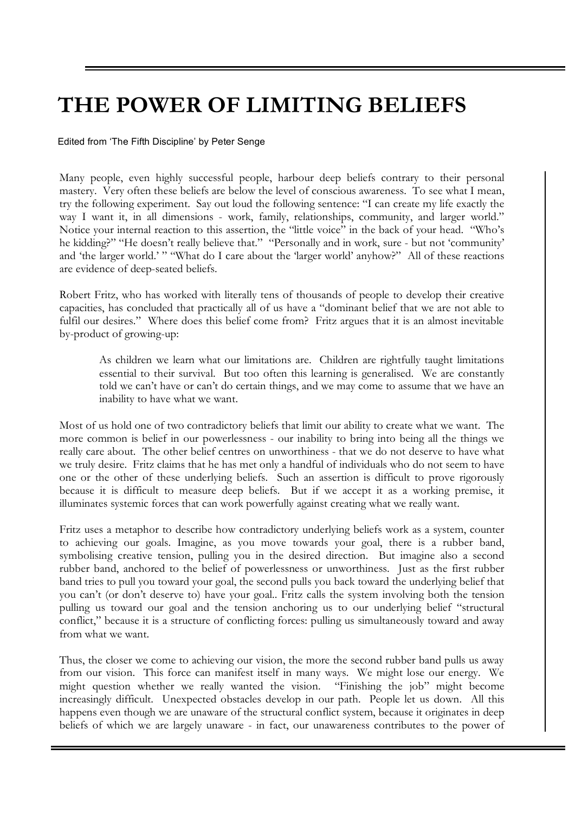## **THE POWER OF LIMITING BELIEFS**

Edited from 'The Fifth Discipline' by Peter Senge

Many people, even highly successful people, harbour deep beliefs contrary to their personal mastery. Very often these beliefs are below the level of conscious awareness. To see what I mean, try the following experiment. Say out loud the following sentence: "I can create my life exactly the way I want it, in all dimensions - work, family, relationships, community, and larger world." Notice your internal reaction to this assertion, the "little voice" in the back of your head. "Who's he kidding?" "He doesn't really believe that." "Personally and in work, sure - but not 'community' and 'the larger world.' " "What do I care about the 'larger world' anyhow?" All of these reactions are evidence of deep-seated beliefs.

Robert Fritz, who has worked with literally tens of thousands of people to develop their creative capacities, has concluded that practically all of us have a "dominant belief that we are not able to fulfil our desires." Where does this belief come from? Fritz argues that it is an almost inevitable by-product of growing-up:

As children we learn what our limitations are. Children are rightfully taught limitations essential to their survival. But too often this learning is generalised. We are constantly told we can't have or can't do certain things, and we may come to assume that we have an inability to have what we want.

Most of us hold one of two contradictory beliefs that limit our ability to create what we want. The more common is belief in our powerlessness - our inability to bring into being all the things we really care about. The other belief centres on unworthiness - that we do not deserve to have what we truly desire. Fritz claims that he has met only a handful of individuals who do not seem to have one or the other of these underlying beliefs. Such an assertion is difficult to prove rigorously because it is difficult to measure deep beliefs. But if we accept it as a working premise, it illuminates systemic forces that can work powerfully against creating what we really want.

Fritz uses a metaphor to describe how contradictory underlying beliefs work as a system, counter to achieving our goals. Imagine, as you move towards your goal, there is a rubber band, symbolising creative tension, pulling you in the desired direction. But imagine also a second rubber band, anchored to the belief of powerlessness or unworthiness. Just as the first rubber band tries to pull you toward your goal, the second pulls you back toward the underlying belief that you can't (or don't deserve to) have your goal.. Fritz calls the system involving both the tension pulling us toward our goal and the tension anchoring us to our underlying belief "structural conflict," because it is a structure of conflicting forces: pulling us simultaneously toward and away from what we want.

Thus, the closer we come to achieving our vision, the more the second rubber band pulls us away from our vision. This force can manifest itself in many ways. We might lose our energy. We might question whether we really wanted the vision. "Finishing the job" might become increasingly difficult. Unexpected obstacles develop in our path. People let us down. All this happens even though we are unaware of the structural conflict system, because it originates in deep beliefs of which we are largely unaware - in fact, our unawareness contributes to the power of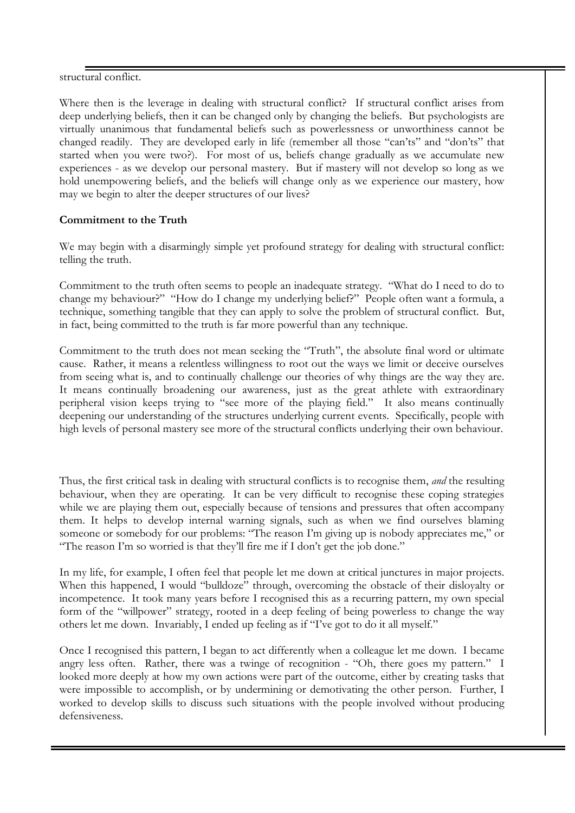## structural conflict.

Where then is the leverage in dealing with structural conflict? If structural conflict arises from deep underlying beliefs, then it can be changed only by changing the beliefs. But psychologists are virtually unanimous that fundamental beliefs such as powerlessness or unworthiness cannot be changed readily. They are developed early in life (remember all those "can'ts" and "don'ts" that started when you were two?). For most of us, beliefs change gradually as we accumulate new experiences - as we develop our personal mastery. But if mastery will not develop so long as we hold unempowering beliefs, and the beliefs will change only as we experience our mastery, how may we begin to alter the deeper structures of our lives?

## **Commitment to the Truth**

We may begin with a disarmingly simple yet profound strategy for dealing with structural conflict: telling the truth.

Commitment to the truth often seems to people an inadequate strategy. "What do I need to do to change my behaviour?" "How do I change my underlying belief?" People often want a formula, a technique, something tangible that they can apply to solve the problem of structural conflict. But, in fact, being committed to the truth is far more powerful than any technique.

Commitment to the truth does not mean seeking the "Truth", the absolute final word or ultimate cause. Rather, it means a relentless willingness to root out the ways we limit or deceive ourselves from seeing what is, and to continually challenge our theories of why things are the way they are. It means continually broadening our awareness, just as the great athlete with extraordinary peripheral vision keeps trying to "see more of the playing field." It also means continually deepening our understanding of the structures underlying current events. Specifically, people with high levels of personal mastery see more of the structural conflicts underlying their own behaviour.

Thus, the first critical task in dealing with structural conflicts is to recognise them, *and* the resulting behaviour, when they are operating. It can be very difficult to recognise these coping strategies while we are playing them out, especially because of tensions and pressures that often accompany them. It helps to develop internal warning signals, such as when we find ourselves blaming someone or somebody for our problems: "The reason I'm giving up is nobody appreciates me," or "The reason I'm so worried is that they'll fire me if I don't get the job done."

In my life, for example, I often feel that people let me down at critical junctures in major projects. When this happened, I would "bulldoze" through, overcoming the obstacle of their disloyalty or incompetence. It took many years before I recognised this as a recurring pattern, my own special form of the "willpower" strategy, rooted in a deep feeling of being powerless to change the way others let me down. Invariably, I ended up feeling as if "I've got to do it all myself."

Once I recognised this pattern, I began to act differently when a colleague let me down. I became angry less often. Rather, there was a twinge of recognition - "Oh, there goes my pattern." I looked more deeply at how my own actions were part of the outcome, either by creating tasks that were impossible to accomplish, or by undermining or demotivating the other person. Further, I worked to develop skills to discuss such situations with the people involved without producing defensiveness.